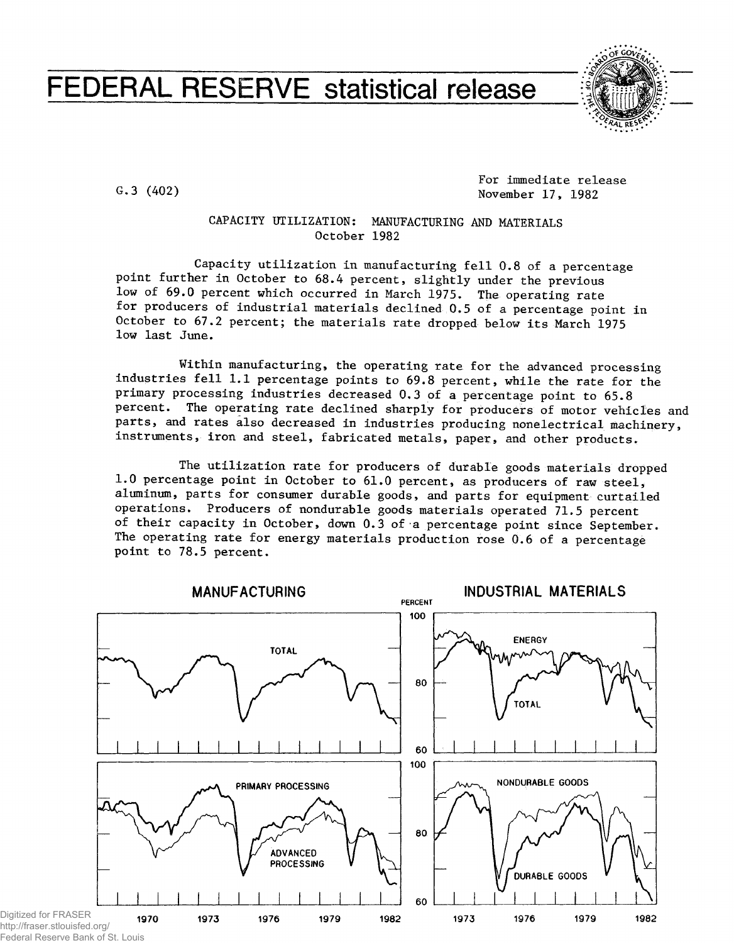# FEDERAL RESERVE statistical release



G.3 (402)

For immediate release November 17, 1982

## CAPACITY UTILIZATION: MANUFACTURING AND MATERIALS October 1982

Capacity utilization in manufacturing fell 0.8 of a percentage point further in October to 68.4 percent, slightly under the previous low of 69.0 percent which occurred in March 1975. The operating rate for producers of industrial materials declined 0.5 of a percentage point in October to 67.2 percent; the materials rate dropped below its March 1975 low last June.

Within manufacturing, the operating rate for the advanced processing industries fell 1.1 percentage points to 69.8 percent, while the rate for the primary processing industries decreased 0.3 of a percentage point to 65.8 percent. The operating rate declined sharply for producers of motor vehicles and parts, and rates also decreased in industries producing nonelectrical machinery, instruments, iron and steel, fabricated metals, paper, and other products.

The utilization rate for producers of durable goods materials dropped 1.0 percentage point in October to 61.0 percent, as producers of raw steel, aluminum, parts for consumer durable goods, and parts for equipment curtailed operations. Producers of nondurable goods materials operated 71.5 percent of their capacity In October, down 0.3 of a percentage point since September. The operating rate for energy materials production rose 0.6 of a percentage point to 78.5 percent.



http://fraser.stlouisfed.org/ Federal Reserve Bank of St. Louis